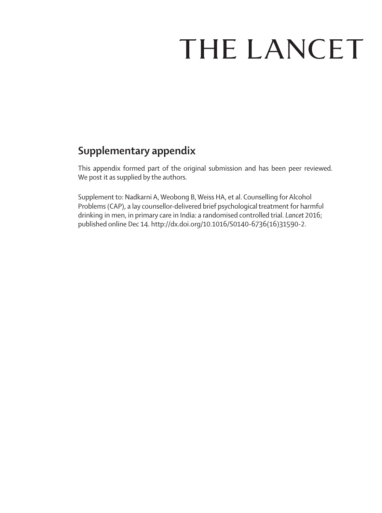# THE LANCET

# **Supplementary appendix**

This appendix formed part of the original submission and has been peer reviewed. We post it as supplied by the authors.

Supplement to: Nadkarni A, Weobong B, Weiss HA, et al. Counselling for Alcohol Problems (CAP), a lay counsellor-delivered brief psychological treatment for harmful drinking in men, in primary care in India: a randomised controlled trial. *Lancet* 2016; published online Dec 14. http://dx.doi.org/10.1016/S0140-6736(16)31590-2.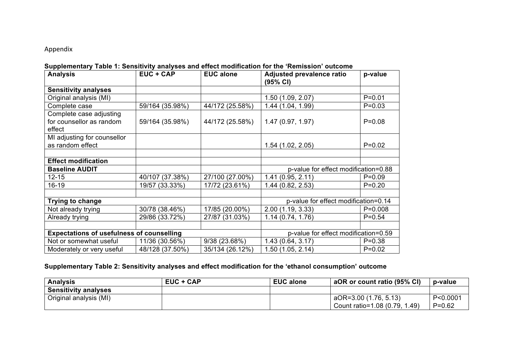# Appendix

#### Supplementary Table 1: Sensitivity analyses and effect modification for the 'Remission' outcome

| <b>Analysis</b>                                               | $EUC + CAP$     | <b>EUC alone</b>                     | Adjusted prevalence ratio<br>(95% CI) | p-value     |
|---------------------------------------------------------------|-----------------|--------------------------------------|---------------------------------------|-------------|
| <b>Sensitivity analyses</b>                                   |                 |                                      |                                       |             |
| Original analysis (MI)                                        |                 |                                      | 1.50 (1.09, 2.07)                     | $P = 0.01$  |
| Complete case                                                 | 59/164 (35.98%) | 44/172 (25.58%)                      | 1.44 (1.04, 1.99)                     | $P = 0.03$  |
| Complete case adjusting<br>for counsellor as random<br>effect | 59/164 (35.98%) | 44/172 (25.58%)                      | 1.47(0.97, 1.97)                      | $P = 0.08$  |
| MI adjusting for counsellor<br>as random effect               |                 |                                      | 1.54(1.02, 2.05)                      | $P = 0.02$  |
| <b>Effect modification</b>                                    |                 |                                      |                                       |             |
| <b>Baseline AUDIT</b>                                         |                 |                                      | p-value for effect modification=0.88  |             |
| $12 - 15$                                                     | 40/107 (37.38%) | 27/100 (27.00%)                      | 1.41(0.95, 2.11)                      | $P = 0.09$  |
| 16-19                                                         | 19/57 (33.33%)  | 17/72 (23.61%)                       | 1.44 (0.82, 2.53)                     | $P = 0.20$  |
|                                                               |                 |                                      |                                       |             |
| <b>Trying to change</b>                                       |                 |                                      | p-value for effect modification=0.14  |             |
| Not already trying                                            | 30/78 (38.46%)  | 17/85 (20.00%)                       | 2.00 (1.19, 3.33)                     | $P = 0.008$ |
| Already trying                                                | 29/86 (33.72%)  | 27/87 (31.03%)                       | 1.14(0.74, 1.76)                      | $P = 0.54$  |
|                                                               |                 |                                      |                                       |             |
| <b>Expectations of usefulness of counselling</b>              |                 | p-value for effect modification=0.59 |                                       |             |
| Not or somewhat useful                                        | 11/36 (30.56%)  | 9/38 (23.68%)                        | 1.43(0.64, 3.17)                      | $P = 0.38$  |
| Moderately or very useful                                     | 48/128 (37.50%) | 35/134 (26.12%)                      | 1.50(1.05, 2.14)                      | $P = 0.02$  |

### Supplementary Table 2: Sensitivity analyses and effect modification for the 'ethanol consumption' outcome

| <b>Analysis</b>             | $EUC + CAP$ | <b>EUC alone</b> | aOR or count ratio (95% CI)   | p-value    |
|-----------------------------|-------------|------------------|-------------------------------|------------|
| <b>Sensitivity analyses</b> |             |                  |                               |            |
| Original analysis (MI)      |             |                  | aOR=3.00 (1.76, 5.13)         | P < 0.0001 |
|                             |             |                  | Count ratio=1.08 (0.79, 1.49) | $P=0.62$   |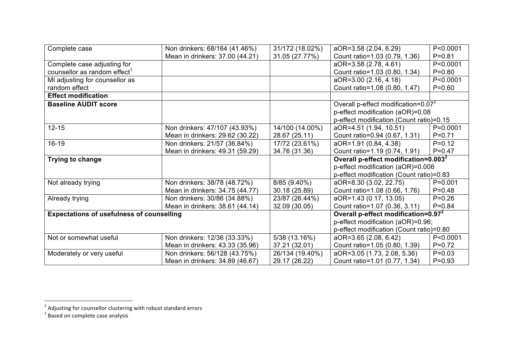| Complete case                                    | Non drinkers: 68/164 (41.46%)                                    | 31/172 (18.02%) | aOR=3.58 (2.04, 6.29)                            | P<0.0001   |
|--------------------------------------------------|------------------------------------------------------------------|-----------------|--------------------------------------------------|------------|
|                                                  | Mean in drinkers: 37.00 (44.21)                                  | 31.05 (27.77%)  | Count ratio=1.03 (0.79, 1.36)                    | $P = 0.81$ |
| Complete case adjusting for                      |                                                                  |                 | aOR=3.58 (2.78, 4.61)                            | P<0.0001   |
| counsellor as random effect <sup>1</sup>         |                                                                  |                 | Count ratio=1.03 (0.80, 1.34)                    | $P = 0.80$ |
| MI adjusting for counsellor as                   |                                                                  |                 | aOR=3.00 (2.16, 4.18)                            | P<0.0001   |
| random effect                                    |                                                                  |                 | Count ratio=1.08 (0.80, 1.47)                    | $P = 0.60$ |
| <b>Effect modification</b>                       |                                                                  |                 |                                                  |            |
| <b>Baseline AUDIT score</b>                      |                                                                  |                 | Overall p-effect modification=0.07 <sup>2</sup>  |            |
|                                                  |                                                                  |                 | p-effect modification (aOR)=0.08                 |            |
|                                                  |                                                                  |                 | p-effect modification (Count ratio)=0.15         |            |
| $12 - 15$                                        | Non drinkers: 47/107 (43.93%)                                    | 14/100 (14.00%) | aOR=4.51 (1.94, 10.51)                           | $P=0.0001$ |
|                                                  | Mean in drinkers: 29.62 (30.22)                                  | 28.67 (25.11)   | Count ratio=0.94 (0.67, 1.31)                    | $P = 0.71$ |
| $16-19$                                          | Non drinkers: 21/57 (36.84%)                                     | 17/72 (23.61%)  | aOR=1.91 (0.84, 4.38)                            | $P = 0.12$ |
|                                                  | Mean in drinkers: 49.31 (59.29)                                  | 34.76 (31.36)   | Count ratio=1.19 (0.74, 1.91)                    | $P = 0.47$ |
| Trying to change                                 |                                                                  |                 | Overall p-effect modification=0.003 <sup>2</sup> |            |
|                                                  |                                                                  |                 | p-effect modification (aOR)=0.006                |            |
|                                                  |                                                                  |                 |                                                  |            |
|                                                  |                                                                  |                 | p-effect modification (Count ratio)=0.83         |            |
| Not already trying                               | Non drinkers: 38/78 (48.72%)                                     | $8/85(9.40\%)$  | aOR=8.30 (3.02, 22.75)                           | $P=0.001$  |
|                                                  | Mean in drinkers: 34.75 (44.77)                                  | 30.18 (25.89)   | Count ratio=1.08 (0.66, 1.76)                    | $P = 0.48$ |
| Already trying                                   | Non drinkers: 30/86 (34.88%)                                     | 23/87 (26.44%)  | aOR=1.43 (0.17, 13.05)                           | $P = 0.26$ |
|                                                  | Mean in drinkers: 38.61 (44.14)                                  | 32.09 (30.05)   | Count ratio=1.07 (0.36, 3.11)                    | $P = 0.84$ |
| <b>Expectations of usefulness of counselling</b> |                                                                  |                 | Overall p-effect modification=0.97 <sup>2</sup>  |            |
|                                                  |                                                                  |                 | p-effect modification (aOR)=0.96;                |            |
|                                                  |                                                                  |                 | p-effect modification (Count ratio)=0.80         |            |
| Not or somewhat useful                           | Non drinkers: 12/36 (33.33%)                                     | 5/38 (13.16%)   | aOR=3.65 (2.08, 6.42)                            | P < 0.0001 |
|                                                  | Mean in drinkers: 43.33 (35.96)                                  | 37.21 (32.01)   | Count ratio=1.05 (0.80, 1.39)                    | $P = 0.72$ |
| Moderately or very useful                        | Non drinkers: 56/128 (43.75%)<br>Mean in drinkers: 34.89 (46.67) | 26/134 (19.40%) | aOR=3.05 (1.73, 2.08, 5.36)                      | $P = 0.03$ |

 $\frac{1}{\sqrt{1-\lambda}}$  Adjusting for counsellor clustering with robust standard errors

 $2$  Based on complete case analysis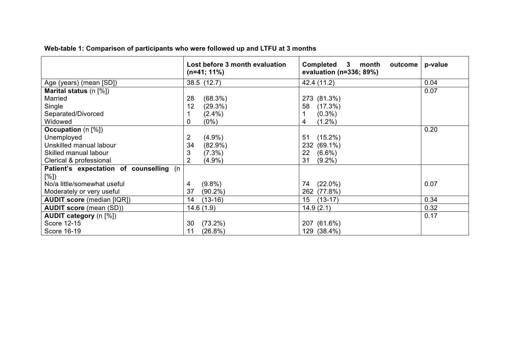|  | Web-table 1: Comparison of participants who were followed up and LTFU at 3 months |  |
|--|-----------------------------------------------------------------------------------|--|
|--|-----------------------------------------------------------------------------------|--|

|                                         | Lost before 3 month evaluation<br>$(n=41; 11\%)$ | <b>Completed</b><br>$3^{\circ}$<br>month<br>outcome<br>evaluation (n=336; 89%) | p-value |
|-----------------------------------------|--------------------------------------------------|--------------------------------------------------------------------------------|---------|
| Age (years) (mean [SD])                 | 38.5 (12.7)                                      | 42.4 (11.2)                                                                    | 0.04    |
| <b>Marital status</b> $(n \, [\%])$     |                                                  |                                                                                | 0.07    |
| Married                                 | 28<br>(68.3%)                                    | 273 (81.3%)                                                                    |         |
| Single                                  | 12<br>$(29.3\%)$                                 | $(17.3\%)$<br>58                                                               |         |
| Separated/Divorced                      | $(2.4\%)$                                        | $(0.3\%)$                                                                      |         |
| Widowed                                 | $(0\%)$<br>0                                     | $(1.2\%)$<br>4                                                                 |         |
| <b>Occupation</b> (n $[%]$ )            |                                                  |                                                                                | 0.20    |
| Unemployed                              | $\overline{2}$<br>$(4.9\%)$                      | $(15.2\%)$<br>51                                                               |         |
| Unskilled manual labour                 | 34<br>$(82.9\%)$                                 | $(69.1\%)$<br>232                                                              |         |
| Skilled manual labour                   | 3<br>$(7.3\%)$                                   | $(6.6\%)$<br>22                                                                |         |
| Clerical & professional                 | 2<br>$(4.9\%)$                                   | $(9.2\%)$<br>31                                                                |         |
| Patient's expectation of counselling (n |                                                  |                                                                                |         |
| [%])                                    |                                                  |                                                                                |         |
| No/a little/somewhat useful             | $(9.8\%)$<br>4                                   | $(22.0\%)$<br>74                                                               | 0.07    |
| Moderately or very useful               | 37<br>$(90.2\%)$                                 | 262 (77.8%)                                                                    |         |
| <b>AUDIT score (median [IQR])</b>       | 14<br>$(13-16)$                                  | $(13-17)$<br>15                                                                | 0.34    |
| <b>AUDIT score (mean (SD))</b>          | 14.6(1.9)                                        | 14.9(2.1)                                                                      | 0.32    |
| <b>AUDIT category</b> (n [%])           |                                                  |                                                                                | 0.17    |
| Score 12-15                             | 30<br>$(73.2\%)$                                 | 207 (61.6%)                                                                    |         |
| Score 16-19                             | 11<br>$(26.8\%)$                                 | 129 (38.4%)                                                                    |         |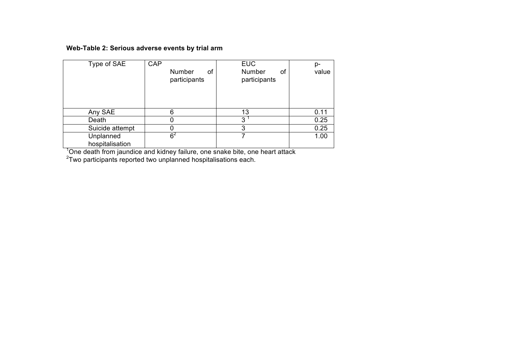# Web-Table 2: Serious adverse events by trial arm

| Type of SAE                  | CAP<br>of<br>Number<br>participants | <b>EUC</b><br>Number<br>οf<br>participants | p-<br>value |
|------------------------------|-------------------------------------|--------------------------------------------|-------------|
| Any SAE                      | 6                                   | 13                                         | 0.11        |
| Death                        |                                     | 3                                          | 0.25        |
| Suicide attempt              |                                     | 3                                          | 0.25        |
| Unplanned<br>hospitalisation | $6^2$                               | 7                                          | 1.00        |

hospitalisation 1 One(death(from(jaundice(and(kidney(failure,(one(snake(bite,(one(heart(attack 2 Two(participants(reported(two(unplanned(hospitalisations(each.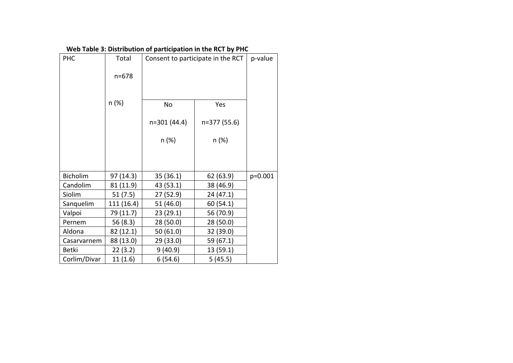| <b>PHC</b>      | Total      | Consent to participate in the RCT |              | p-value |
|-----------------|------------|-----------------------------------|--------------|---------|
|                 | $n = 678$  |                                   |              |         |
|                 |            |                                   |              |         |
|                 | n(%)       | <b>No</b>                         | Yes          |         |
|                 |            | n=301 (44.4)                      | n=377 (55.6) |         |
|                 |            | n (%)                             | n (%)        |         |
|                 |            |                                   |              |         |
| <b>Bicholim</b> | 97 (14.3)  | 35 (36.1)                         | 62(63.9)     | p=0.001 |
| Candolim        | 81 (11.9)  | 43 (53.1)                         | 38 (46.9)    |         |
| Siolim          | 51(7.5)    | 27 (52.9)                         | 24 (47.1)    |         |
| Sanquelim       | 111 (16.4) | 51 (46.0)                         | 60 (54.1)    |         |
| Valpoi          | 79 (11.7)  | 23(29.1)                          | 56 (70.9)    |         |
| Pernem          | 56 (8.3)   | 28 (50.0)                         | 28 (50.0)    |         |
| Aldona          | 82 (12.1)  | 50(61.0)                          | 32 (39.0)    |         |
| Casarvarnem     | 88 (13.0)  | 29 (33.0)                         | 59 (67.1)    |         |
| <b>Betki</b>    | 22(3.2)    | 9(40.9)                           | 13(59.1)     |         |
| Corlim/Divar    | 11 (1.6)   | 6(54.6)                           | 5(45.5)      |         |

#### Web Table 3: Distribution of participation in the RCT by PHC